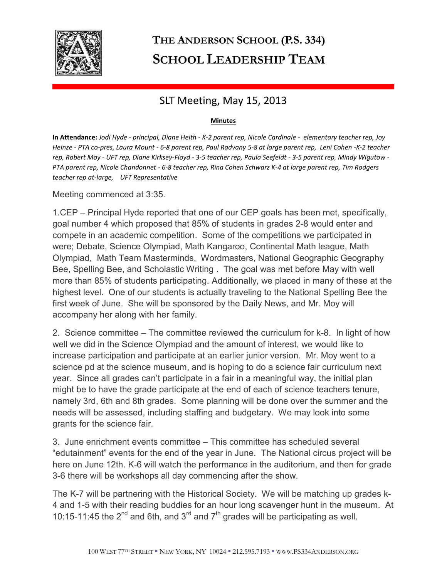

## **THE ANDERSON SCHOOL (P.S. 334) SCHOOL LEADERSHIP TEAM**

## SLT Meeting, May 15, 2013

## **Minutes**

**In Attendance:** *Jodi Hyde - principal, Diane Heith - K-2 parent rep, Nicole Cardinale - elementary teacher rep, Joy Heinze - PTA co-pres, Laura Mount - 6-8 parent rep, Paul Radvany 5-8 at large parent rep, Leni Cohen -K-2 teacher rep, Robert Moy - UFT rep, Diane Kirksey-Floyd - 3-5 teacher rep, Paula Seefeldt - 3-5 parent rep, Mindy Wigutow - PTA parent rep, Nicole Chandonnet - 6-8 teacher rep, Rina Cohen Schwarz K-4 at large parent rep, Tim Rodgers teacher rep at-large, UFT Representative* 

Meeting commenced at 3:35.

1.CEP – Principal Hyde reported that one of our CEP goals has been met, specifically, goal number 4 which proposed that 85% of students in grades 2-8 would enter and compete in an academic competition. Some of the competitions we participated in were; Debate, Science Olympiad, Math Kangaroo, Continental Math league, Math Olympiad, Math Team Masterminds, Wordmasters, National Geographic Geography Bee, Spelling Bee, and Scholastic Writing . The goal was met before May with well more than 85% of students participating. Additionally, we placed in many of these at the highest level. One of our students is actually traveling to the National Spelling Bee the first week of June. She will be sponsored by the Daily News, and Mr. Moy will accompany her along with her family.

2. Science committee – The committee reviewed the curriculum for k-8. In light of how well we did in the Science Olympiad and the amount of interest, we would like to increase participation and participate at an earlier junior version. Mr. Moy went to a science pd at the science museum, and is hoping to do a science fair curriculum next year. Since all grades can't participate in a fair in a meaningful way, the initial plan might be to have the grade participate at the end of each of science teachers tenure, namely 3rd, 6th and 8th grades. Some planning will be done over the summer and the needs will be assessed, including staffing and budgetary. We may look into some grants for the science fair.

3. June enrichment events committee – This committee has scheduled several "edutainment" events for the end of the year in June. The National circus project will be here on June 12th. K-6 will watch the performance in the auditorium, and then for grade 3-6 there will be workshops all day commencing after the show.

The K-7 will be partnering with the Historical Society. We will be matching up grades k-4 and 1-5 with their reading buddies for an hour long scavenger hunt in the museum. At 10:15-11:45 the  $2^{nd}$  and 6th, and  $3^{rd}$  and  $7^{th}$  grades will be participating as well.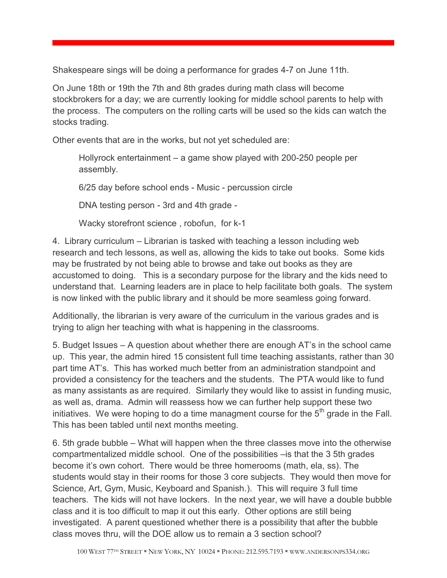Shakespeare sings will be doing a performance for grades 4-7 on June 11th.

On June 18th or 19th the 7th and 8th grades during math class will become stockbrokers for a day; we are currently looking for middle school parents to help with the process. The computers on the rolling carts will be used so the kids can watch the stocks trading.

Other events that are in the works, but not yet scheduled are:

Hollyrock entertainment – a game show played with 200-250 people per assembly.

6/25 day before school ends - Music - percussion circle

DNA testing person - 3rd and 4th grade -

Wacky storefront science , robofun, for k-1

4. Library curriculum – Librarian is tasked with teaching a lesson including web research and tech lessons, as well as, allowing the kids to take out books. Some kids may be frustrated by not being able to browse and take out books as they are accustomed to doing. This is a secondary purpose for the library and the kids need to understand that. Learning leaders are in place to help facilitate both goals. The system is now linked with the public library and it should be more seamless going forward.

Additionally, the librarian is very aware of the curriculum in the various grades and is trying to align her teaching with what is happening in the classrooms.

5. Budget Issues – A question about whether there are enough AT's in the school came up. This year, the admin hired 15 consistent full time teaching assistants, rather than 30 part time AT's. This has worked much better from an administration standpoint and provided a consistency for the teachers and the students. The PTA would like to fund as many assistants as are required. Similarly they would like to assist in funding music, as well as, drama. Admin will reassess how we can further help support these two initiatives. We were hoping to do a time managment course for the  $5<sup>th</sup>$  grade in the Fall. This has been tabled until next months meeting.

6. 5th grade bubble – What will happen when the three classes move into the otherwise compartmentalized middle school. One of the possibilities –is that the 3 5th grades become it's own cohort. There would be three homerooms (math, ela, ss). The students would stay in their rooms for those 3 core subjects. They would then move for Science, Art, Gym, Music, Keyboard and Spanish.). This will require 3 full time teachers. The kids will not have lockers. In the next year, we will have a double bubble class and it is too difficult to map it out this early. Other options are still being investigated. A parent questioned whether there is a possibility that after the bubble class moves thru, will the DOE allow us to remain a 3 section school?